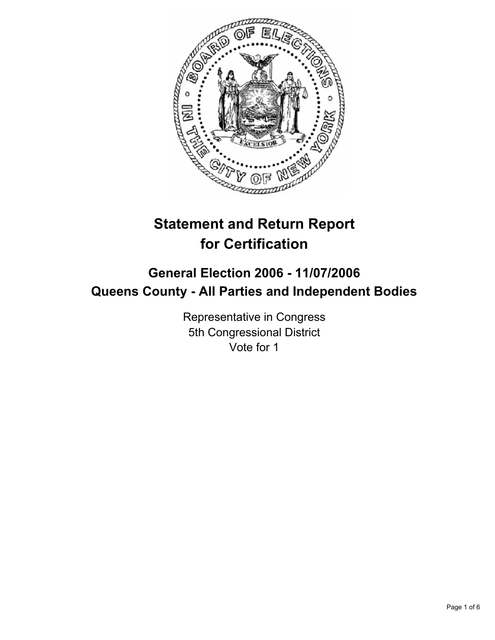

# **Statement and Return Report for Certification**

## **General Election 2006 - 11/07/2006 Queens County - All Parties and Independent Bodies**

Representative in Congress 5th Congressional District Vote for 1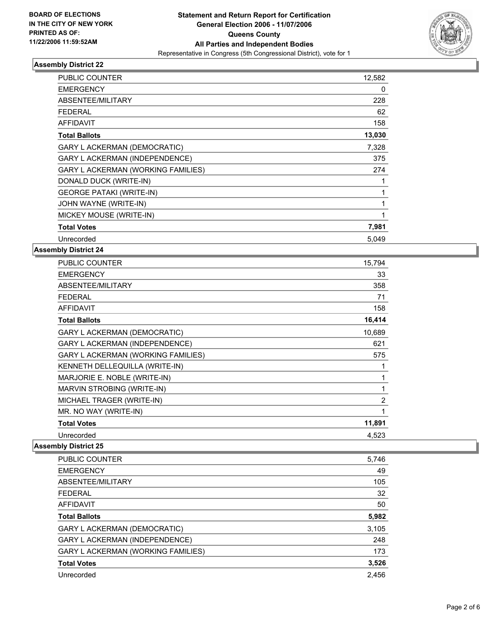

| PUBLIC COUNTER                            | 12,582 |  |
|-------------------------------------------|--------|--|
| <b>EMERGENCY</b>                          | 0      |  |
| ABSENTEE/MILITARY                         | 228    |  |
| <b>FEDERAL</b>                            | 62     |  |
| <b>AFFIDAVIT</b>                          | 158    |  |
| <b>Total Ballots</b>                      | 13,030 |  |
| <b>GARY L ACKERMAN (DEMOCRATIC)</b>       | 7,328  |  |
| <b>GARY L ACKERMAN (INDEPENDENCE)</b>     | 375    |  |
| <b>GARY L ACKERMAN (WORKING FAMILIES)</b> | 274    |  |
| DONALD DUCK (WRITE-IN)                    |        |  |
| <b>GEORGE PATAKI (WRITE-IN)</b>           |        |  |
| JOHN WAYNE (WRITE-IN)                     |        |  |
| MICKEY MOUSE (WRITE-IN)                   |        |  |
| <b>Total Votes</b>                        | 7,981  |  |
| Unrecorded                                | 5.049  |  |

#### **Assembly District 24**

| PUBLIC COUNTER                            | 15,794         |
|-------------------------------------------|----------------|
| <b>EMERGENCY</b>                          | 33             |
| ABSENTEE/MILITARY                         | 358            |
| <b>FEDERAL</b>                            | 71             |
| <b>AFFIDAVIT</b>                          | 158            |
| <b>Total Ballots</b>                      | 16,414         |
| <b>GARY L ACKERMAN (DEMOCRATIC)</b>       | 10,689         |
| <b>GARY L ACKERMAN (INDEPENDENCE)</b>     | 621            |
| <b>GARY L ACKERMAN (WORKING FAMILIES)</b> | 575            |
| KENNETH DELLEQUILLA (WRITE-IN)            |                |
| MARJORIE E. NOBLE (WRITE-IN)              |                |
| MARVIN STROBING (WRITE-IN)                |                |
| MICHAEL TRAGER (WRITE-IN)                 | $\overline{2}$ |
| MR. NO WAY (WRITE-IN)                     |                |
| <b>Total Votes</b>                        | 11,891         |
| Unrecorded                                | 4,523          |

| <b>PUBLIC COUNTER</b>                 | 5,746 |
|---------------------------------------|-------|
| <b>EMERGENCY</b>                      | 49    |
| ABSENTEE/MILITARY                     | 105   |
| <b>FEDERAL</b>                        | 32    |
| AFFIDAVIT                             | 50    |
| <b>Total Ballots</b>                  | 5,982 |
| <b>GARY L ACKERMAN (DEMOCRATIC)</b>   | 3,105 |
| <b>GARY L ACKERMAN (INDEPENDENCE)</b> | 248   |
| GARY L ACKERMAN (WORKING FAMILIES)    | 173   |
| <b>Total Votes</b>                    | 3,526 |
| Unrecorded                            | 2.456 |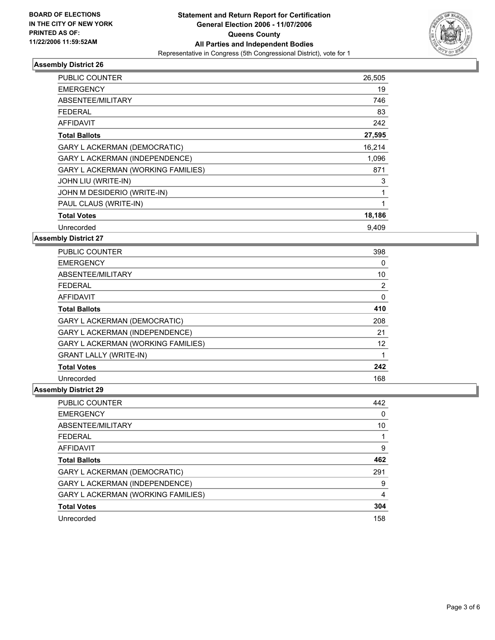

| PUBLIC COUNTER                      | 26,505 |
|-------------------------------------|--------|
| <b>EMERGENCY</b>                    | 19     |
| ABSENTEE/MILITARY                   | 746    |
| FEDERAL                             | 83     |
| <b>AFFIDAVIT</b>                    | 242    |
| <b>Total Ballots</b>                | 27,595 |
| <b>GARY L ACKERMAN (DEMOCRATIC)</b> | 16,214 |
| GARY L ACKERMAN (INDEPENDENCE)      | 1,096  |
| GARY L ACKERMAN (WORKING FAMILIES)  | 871    |
| JOHN LIU (WRITE-IN)                 | 3      |
| JOHN M DESIDERIO (WRITE-IN)         |        |
| PAUL CLAUS (WRITE-IN)               |        |
| <b>Total Votes</b>                  | 18,186 |
| Unrecorded                          | 9.409  |

**Assembly District 27**

| <b>PUBLIC COUNTER</b>                 | 398 |  |
|---------------------------------------|-----|--|
| <b>EMERGENCY</b>                      | 0   |  |
| ABSENTEE/MILITARY                     | 10  |  |
| <b>FEDERAL</b>                        | 2   |  |
| AFFIDAVIT                             | 0   |  |
| <b>Total Ballots</b>                  | 410 |  |
| <b>GARY L ACKERMAN (DEMOCRATIC)</b>   | 208 |  |
| <b>GARY L ACKERMAN (INDEPENDENCE)</b> | 21  |  |
| GARY L ACKERMAN (WORKING FAMILIES)    | 12  |  |
| <b>GRANT LALLY (WRITE-IN)</b>         |     |  |
| <b>Total Votes</b>                    | 242 |  |
| Unrecorded                            | 168 |  |

| PUBLIC COUNTER                     | 442 |
|------------------------------------|-----|
| <b>EMERGENCY</b>                   |     |
| ABSENTEE/MILITARY                  | 10  |
| <b>FEDERAL</b>                     |     |
| AFFIDAVIT                          | 9   |
| <b>Total Ballots</b>               | 462 |
| GARY L ACKERMAN (DEMOCRATIC)       | 291 |
| GARY L ACKERMAN (INDEPENDENCE)     | 9   |
| GARY L ACKERMAN (WORKING FAMILIES) | 4   |
| <b>Total Votes</b>                 | 304 |
| Unrecorded                         | 158 |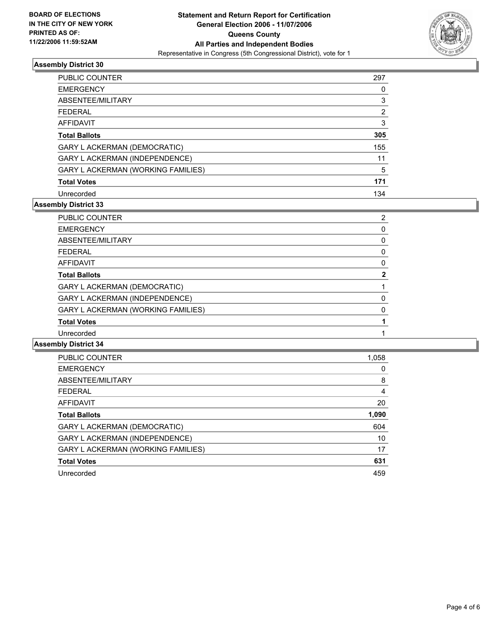

| <b>PUBLIC COUNTER</b>              | 297 |
|------------------------------------|-----|
| <b>EMERGENCY</b>                   |     |
| ABSENTEE/MILITARY                  | 3   |
| FEDERAL                            | 2   |
| <b>AFFIDAVIT</b>                   | 3   |
| <b>Total Ballots</b>               | 305 |
| GARY L ACKERMAN (DEMOCRATIC)       | 155 |
| GARY L ACKERMAN (INDEPENDENCE)     | 11  |
| GARY L ACKERMAN (WORKING FAMILIES) | 5   |
| <b>Total Votes</b>                 | 171 |
| Unrecorded                         | 134 |

#### **Assembly District 33**

| <b>PUBLIC COUNTER</b>                     | ◠ |
|-------------------------------------------|---|
| <b>EMERGENCY</b>                          |   |
| ABSENTEE/MILITARY                         |   |
| <b>FEDERAL</b>                            |   |
| AFFIDAVIT                                 |   |
| <b>Total Ballots</b>                      |   |
| GARY L ACKERMAN (DEMOCRATIC)              |   |
| GARY L ACKERMAN (INDEPENDENCE)            |   |
| <b>GARY L ACKERMAN (WORKING FAMILIES)</b> |   |
| <b>Total Votes</b>                        |   |
| Unrecorded                                |   |

| PUBLIC COUNTER                     | 1,058 |
|------------------------------------|-------|
| <b>EMERGENCY</b>                   |       |
| ABSENTEE/MILITARY                  | 8     |
| <b>FEDERAL</b>                     | 4     |
| <b>AFFIDAVIT</b>                   | 20    |
| <b>Total Ballots</b>               | 1,090 |
| GARY L ACKERMAN (DEMOCRATIC)       | 604   |
| GARY L ACKERMAN (INDEPENDENCE)     | 10    |
| GARY L ACKERMAN (WORKING FAMILIES) | 17    |
| <b>Total Votes</b>                 | 631   |
| Unrecorded                         | 459   |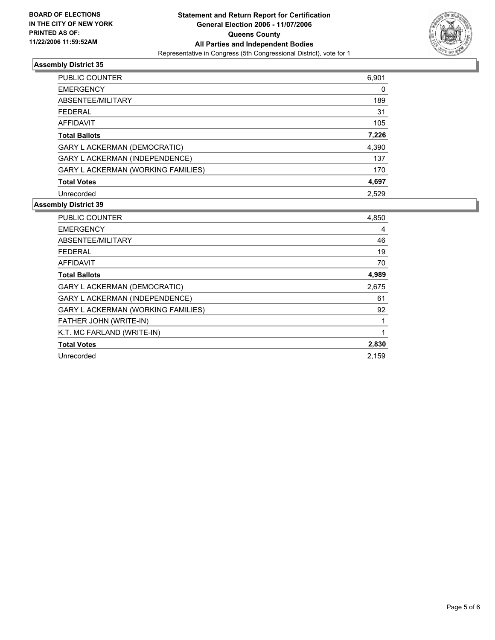

| PUBLIC COUNTER                            | 6,901 |
|-------------------------------------------|-------|
| <b>EMERGENCY</b>                          | 0     |
| ABSENTEE/MILITARY                         | 189   |
| <b>FEDERAL</b>                            | 31    |
| <b>AFFIDAVIT</b>                          | 105   |
| <b>Total Ballots</b>                      | 7,226 |
| GARY L ACKERMAN (DEMOCRATIC)              | 4,390 |
| GARY L ACKERMAN (INDEPENDENCE)            | 137   |
| <b>GARY L ACKERMAN (WORKING FAMILIES)</b> | 170   |
| <b>Total Votes</b>                        | 4,697 |
| Unrecorded                                | 2.529 |

| <b>PUBLIC COUNTER</b>                 | 4,850 |
|---------------------------------------|-------|
| <b>EMERGENCY</b>                      | 4     |
| ABSENTEE/MILITARY                     | 46    |
| FEDERAL                               | 19    |
| AFFIDAVIT                             | 70    |
| <b>Total Ballots</b>                  | 4,989 |
| <b>GARY L ACKERMAN (DEMOCRATIC)</b>   | 2,675 |
| <b>GARY L ACKERMAN (INDEPENDENCE)</b> | 61    |
| GARY L ACKERMAN (WORKING FAMILIES)    | 92    |
| FATHER JOHN (WRITE-IN)                |       |
| K.T. MC FARLAND (WRITE-IN)            |       |
| <b>Total Votes</b>                    | 2,830 |
| Unrecorded                            | 2.159 |